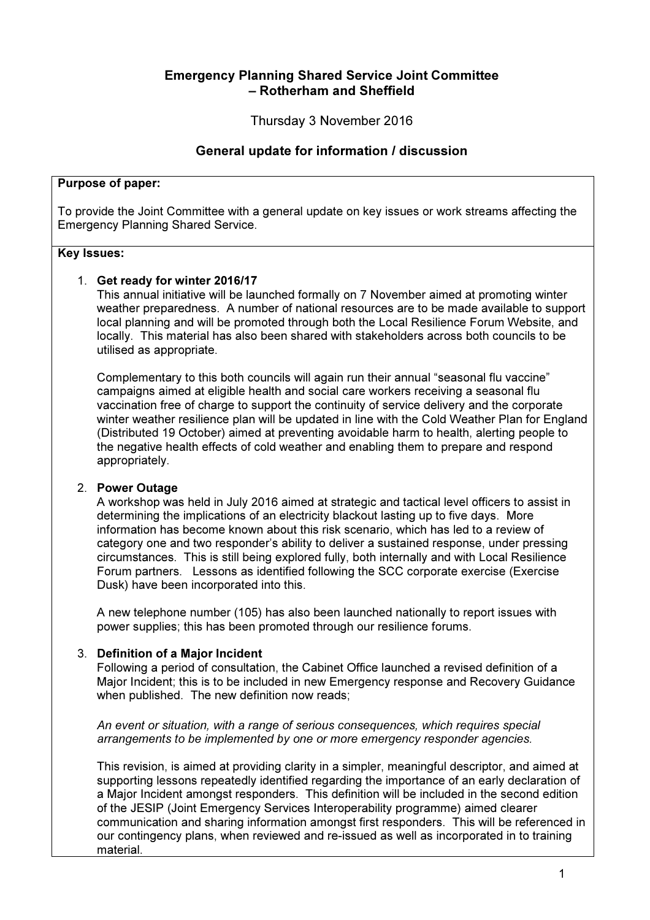# Emergency Planning Shared Service Joint Committee – Rotherham and Sheffield

Thursday 3 November 2016

# General update for information / discussion

#### Purpose of paper:

To provide the Joint Committee with a general update on key issues or work streams affecting the Emergency Planning Shared Service.

#### Key Issues:

### 1. Get ready for winter 2016/17

This annual initiative will be launched formally on 7 November aimed at promoting winter weather preparedness. A number of national resources are to be made available to support local planning and will be promoted through both the Local Resilience Forum Website, and locally. This material has also been shared with stakeholders across both councils to be utilised as appropriate.

Complementary to this both councils will again run their annual "seasonal flu vaccine" campaigns aimed at eligible health and social care workers receiving a seasonal flu vaccination free of charge to support the continuity of service delivery and the corporate winter weather resilience plan will be updated in line with the Cold Weather Plan for England (Distributed 19 October) aimed at preventing avoidable harm to health, alerting people to the negative health effects of cold weather and enabling them to prepare and respond appropriately.

#### 2. Power Outage

A workshop was held in July 2016 aimed at strategic and tactical level officers to assist in determining the implications of an electricity blackout lasting up to five days. More information has become known about this risk scenario, which has led to a review of category one and two responder's ability to deliver a sustained response, under pressing circumstances. This is still being explored fully, both internally and with Local Resilience Forum partners. Lessons as identified following the SCC corporate exercise (Exercise Dusk) have been incorporated into this.

A new telephone number (105) has also been launched nationally to report issues with power supplies; this has been promoted through our resilience forums.

### 3. Definition of a Major Incident

Following a period of consultation, the Cabinet Office launched a revised definition of a Major Incident; this is to be included in new Emergency response and Recovery Guidance when published. The new definition now reads;

An event or situation, with a range of serious consequences, which requires special arrangements to be implemented by one or more emergency responder agencies.

This revision, is aimed at providing clarity in a simpler, meaningful descriptor, and aimed at supporting lessons repeatedly identified regarding the importance of an early declaration of a Major Incident amongst responders. This definition will be included in the second edition of the JESIP (Joint Emergency Services Interoperability programme) aimed clearer communication and sharing information amongst first responders. This will be referenced in our contingency plans, when reviewed and re-issued as well as incorporated in to training material.